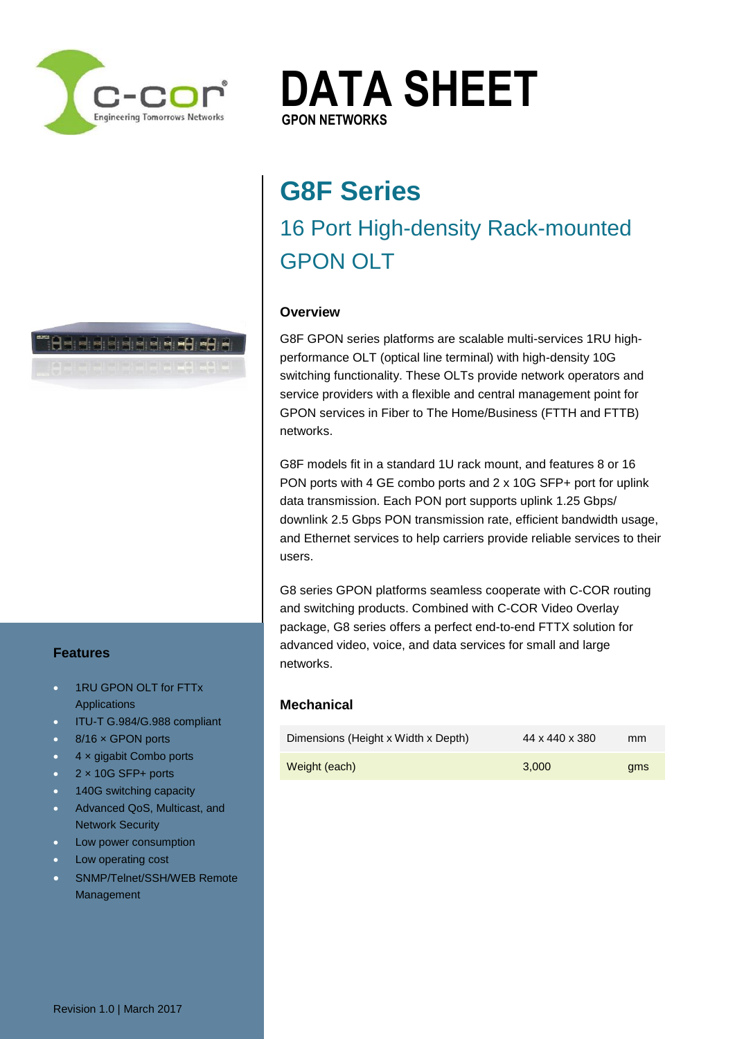

**DATA SHEET GPON NETWORKS GPON NETWORKS**

# **G8F Series** 16 Port High-density Rack-mounted GPON OLT

# **Overview**

G8F GPON series platforms are scalable multi-services 1RU highperformance OLT (optical line terminal) with high-density 10G switching functionality. These OLTs provide network operators and service providers with a flexible and central management point for GPON services in Fiber to The Home/Business (FTTH and FTTB) networks.

G8F models fit in a standard 1U rack mount, and features 8 or 16 PON ports with 4 GE combo ports and 2 x 10G SFP+ port for uplink data transmission. Each PON port supports uplink 1.25 Gbps/ downlink 2.5 Gbps PON transmission rate, efficient bandwidth usage, and Ethernet services to help carriers provide reliable services to their users.

G8 series GPON platforms seamless cooperate with C-COR routing and switching products. Combined with C-COR Video Overlay package, G8 series offers a perfect end-to-end FTTX solution for advanced video, voice, and data services for small and large networks.

## **Mechanical**

| Dimensions (Height x Width x Depth) | 44 x 440 x 380 | mm  |
|-------------------------------------|----------------|-----|
| Weight (each)                       | 3.000          | ams |

**Baadana**na ara Regional Representation

www.com.com.au

## **Features**

- **1RU GPON OLT for FTTx Applications**
- ITU-T G.984/G.988 compliant
- 8/16 x GPON ports
- $\bullet$  4 x gigabit Combo ports
- 2 × 10G SFP+ ports
- 140G switching capacity
- **Advanced QoS, Multicast, and** Network Security
- Low power consumption
- **Low operating cost**
- SNMP/Telnet/SSH/WEB Remote Management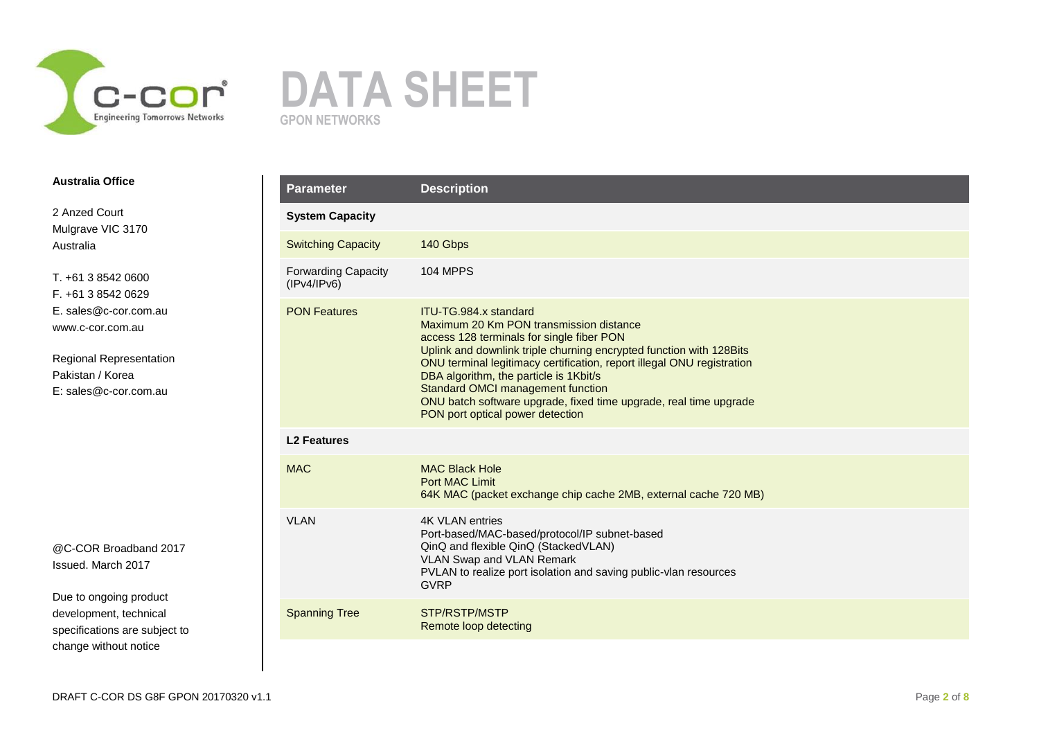



2 Anzed Court Mulgrave VIC 3170 Australia

T. +61 3 8542 0600 F. +61 3 8542 0629 E. sales@c-cor.com.au www.c-cor.com.au

Regional Representation Pakistan / Korea E: sales@c-cor.com.au

@C-COR Broadband 2017 Issued. March 2017

| <b>Parameter</b>                          | <b>Description</b>                                                                                                                                                                                                                                                                                                                                                                                                                                      |
|-------------------------------------------|---------------------------------------------------------------------------------------------------------------------------------------------------------------------------------------------------------------------------------------------------------------------------------------------------------------------------------------------------------------------------------------------------------------------------------------------------------|
| <b>System Capacity</b>                    |                                                                                                                                                                                                                                                                                                                                                                                                                                                         |
| <b>Switching Capacity</b>                 | 140 Gbps                                                                                                                                                                                                                                                                                                                                                                                                                                                |
| <b>Forwarding Capacity</b><br>(IPv4/IPv6) | <b>104 MPPS</b>                                                                                                                                                                                                                                                                                                                                                                                                                                         |
| <b>PON Features</b>                       | ITU-TG.984.x standard<br>Maximum 20 Km PON transmission distance<br>access 128 terminals for single fiber PON<br>Uplink and downlink triple churning encrypted function with 128 Bits<br>ONU terminal legitimacy certification, report illegal ONU registration<br>DBA algorithm, the particle is 1Kbit/s<br>Standard OMCI management function<br>ONU batch software upgrade, fixed time upgrade, real time upgrade<br>PON port optical power detection |
| <b>L2 Features</b>                        |                                                                                                                                                                                                                                                                                                                                                                                                                                                         |
| <b>MAC</b>                                | <b>MAC Black Hole</b><br><b>Port MAC Limit</b><br>64K MAC (packet exchange chip cache 2MB, external cache 720 MB)                                                                                                                                                                                                                                                                                                                                       |
| <b>VLAN</b>                               | <b>4K VLAN entries</b><br>Port-based/MAC-based/protocol/IP subnet-based<br>QinQ and flexible QinQ (StackedVLAN)<br><b>VLAN Swap and VLAN Remark</b><br>PVLAN to realize port isolation and saving public-vlan resources<br><b>GVRP</b>                                                                                                                                                                                                                  |
| <b>Spanning Tree</b>                      | STP/RSTP/MSTP<br>Remote loop detecting                                                                                                                                                                                                                                                                                                                                                                                                                  |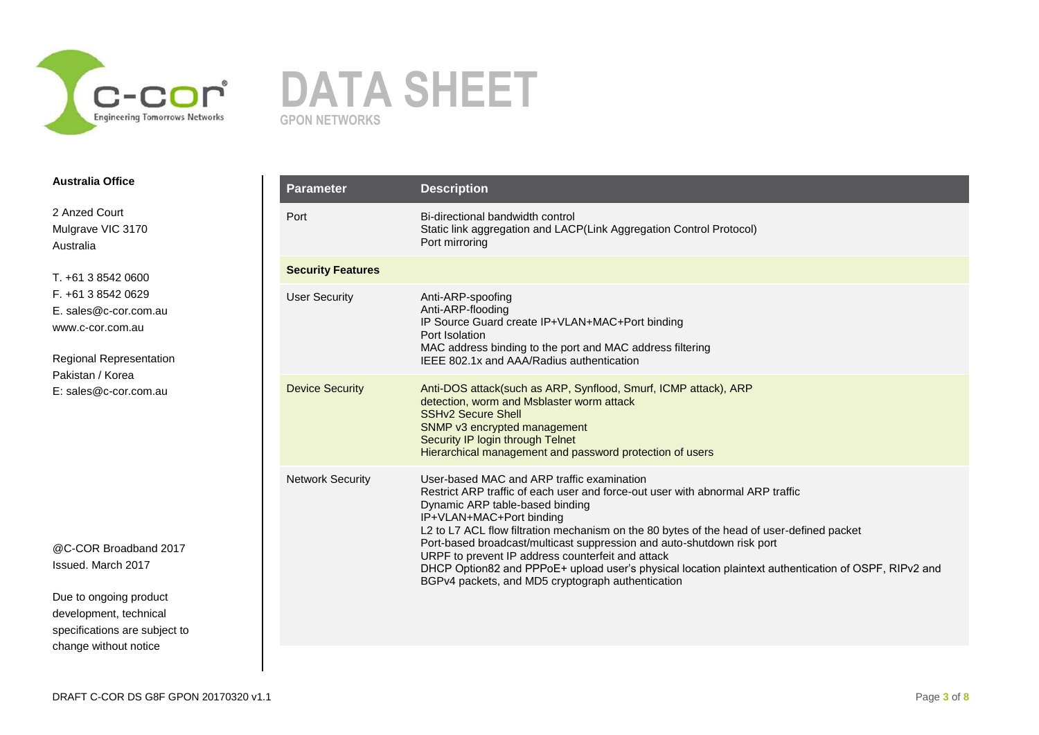



2 Anzed Court Mulgrave VIC 3170 Australia

T. +61 3 8542 0600 F. +61 3 8542 0629 E. sales@c-cor.com.au www.c-cor.com.au

Regional Representation Pakistan / Korea E: sales@c-cor.com.au

@C-COR Broadband 2017 Issued. March 2017

| <b>Parameter</b>         | <b>Description</b>                                                                                                                                                                                                                                                                                                                                                                                                                                                                                                                                                                   |
|--------------------------|--------------------------------------------------------------------------------------------------------------------------------------------------------------------------------------------------------------------------------------------------------------------------------------------------------------------------------------------------------------------------------------------------------------------------------------------------------------------------------------------------------------------------------------------------------------------------------------|
| Port                     | Bi-directional bandwidth control<br>Static link aggregation and LACP(Link Aggregation Control Protocol)<br>Port mirroring                                                                                                                                                                                                                                                                                                                                                                                                                                                            |
| <b>Security Features</b> |                                                                                                                                                                                                                                                                                                                                                                                                                                                                                                                                                                                      |
| <b>User Security</b>     | Anti-ARP-spoofing<br>Anti-ARP-flooding<br>IP Source Guard create IP+VLAN+MAC+Port binding<br>Port Isolation<br>MAC address binding to the port and MAC address filtering<br>IEEE 802.1x and AAA/Radius authentication                                                                                                                                                                                                                                                                                                                                                                |
| <b>Device Security</b>   | Anti-DOS attack(such as ARP, Synflood, Smurf, ICMP attack), ARP<br>detection, worm and Msblaster worm attack<br><b>SSHv2 Secure Shell</b><br>SNMP v3 encrypted management<br>Security IP login through Telnet<br>Hierarchical management and password protection of users                                                                                                                                                                                                                                                                                                            |
| <b>Network Security</b>  | User-based MAC and ARP traffic examination<br>Restrict ARP traffic of each user and force-out user with abnormal ARP traffic<br>Dynamic ARP table-based binding<br>IP+VLAN+MAC+Port binding<br>L2 to L7 ACL flow filtration mechanism on the 80 bytes of the head of user-defined packet<br>Port-based broadcast/multicast suppression and auto-shutdown risk port<br>URPF to prevent IP address counterfeit and attack<br>DHCP Option82 and PPPoE+ upload user's physical location plaintext authentication of OSPF, RIPv2 and<br>BGPv4 packets, and MD5 cryptograph authentication |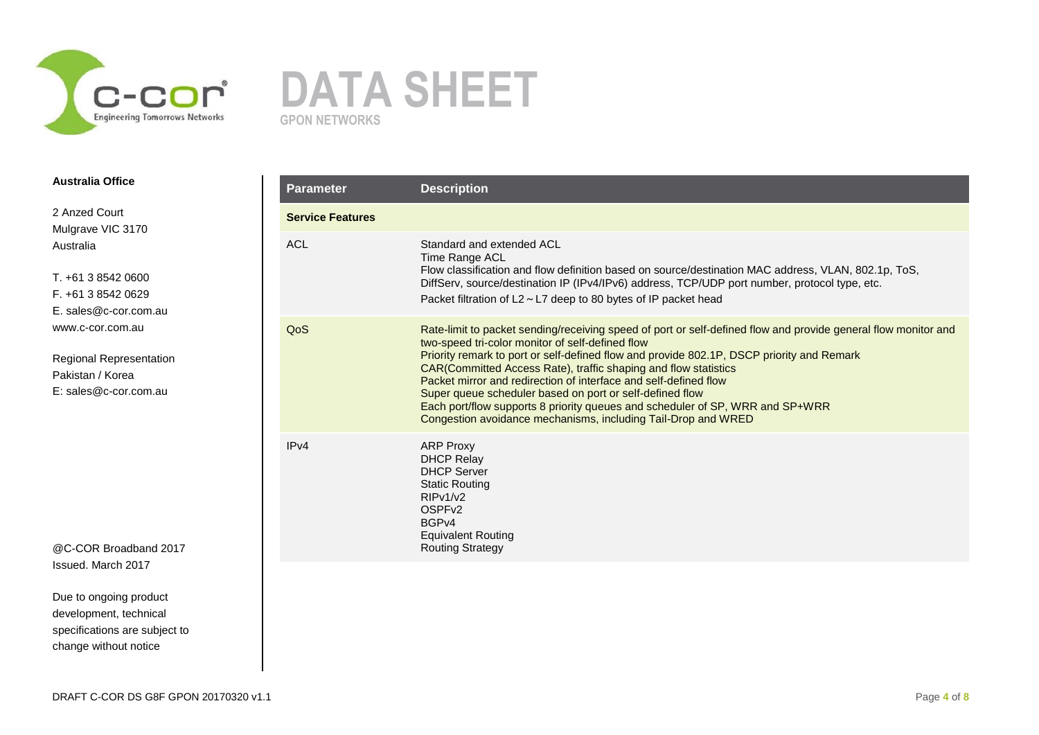



2 Anzed Court Mulgrave VIC 3170 Australia

T. +61 3 8542 0600 F. +61 3 8542 0629 E. sales@c-cor.com.au www.c-cor.com.au

Regional Representation Pakistan / Korea E: sales@c-cor.com.au

@C-COR Broadband 2017 Issued. March 2017

| <b>Parameter</b>        | <b>Description</b>                                                                                                                                                                                                                                                                                                                                                                                                                                                                                                                                                                                                   |
|-------------------------|----------------------------------------------------------------------------------------------------------------------------------------------------------------------------------------------------------------------------------------------------------------------------------------------------------------------------------------------------------------------------------------------------------------------------------------------------------------------------------------------------------------------------------------------------------------------------------------------------------------------|
| <b>Service Features</b> |                                                                                                                                                                                                                                                                                                                                                                                                                                                                                                                                                                                                                      |
| <b>ACL</b>              | Standard and extended ACL<br>Time Range ACL<br>Flow classification and flow definition based on source/destination MAC address, VLAN, 802.1p, ToS,<br>DiffServ, source/destination IP (IPv4/IPv6) address, TCP/UDP port number, protocol type, etc.<br>Packet filtration of $L2 \sim L7$ deep to 80 bytes of IP packet head                                                                                                                                                                                                                                                                                          |
| QoS                     | Rate-limit to packet sending/receiving speed of port or self-defined flow and provide general flow monitor and<br>two-speed tri-color monitor of self-defined flow<br>Priority remark to port or self-defined flow and provide 802.1P, DSCP priority and Remark<br>CAR(Committed Access Rate), traffic shaping and flow statistics<br>Packet mirror and redirection of interface and self-defined flow<br>Super queue scheduler based on port or self-defined flow<br>Each port/flow supports 8 priority queues and scheduler of SP, WRR and SP+WRR<br>Congestion avoidance mechanisms, including Tail-Drop and WRED |
| IPv4                    | <b>ARP Proxy</b><br><b>DHCP Relay</b><br><b>DHCP Server</b><br><b>Static Routing</b><br>RIPv1/v2<br>OSPF <sub>v2</sub><br>BGP <sub>v4</sub><br><b>Equivalent Routing</b><br><b>Routing Strategy</b>                                                                                                                                                                                                                                                                                                                                                                                                                  |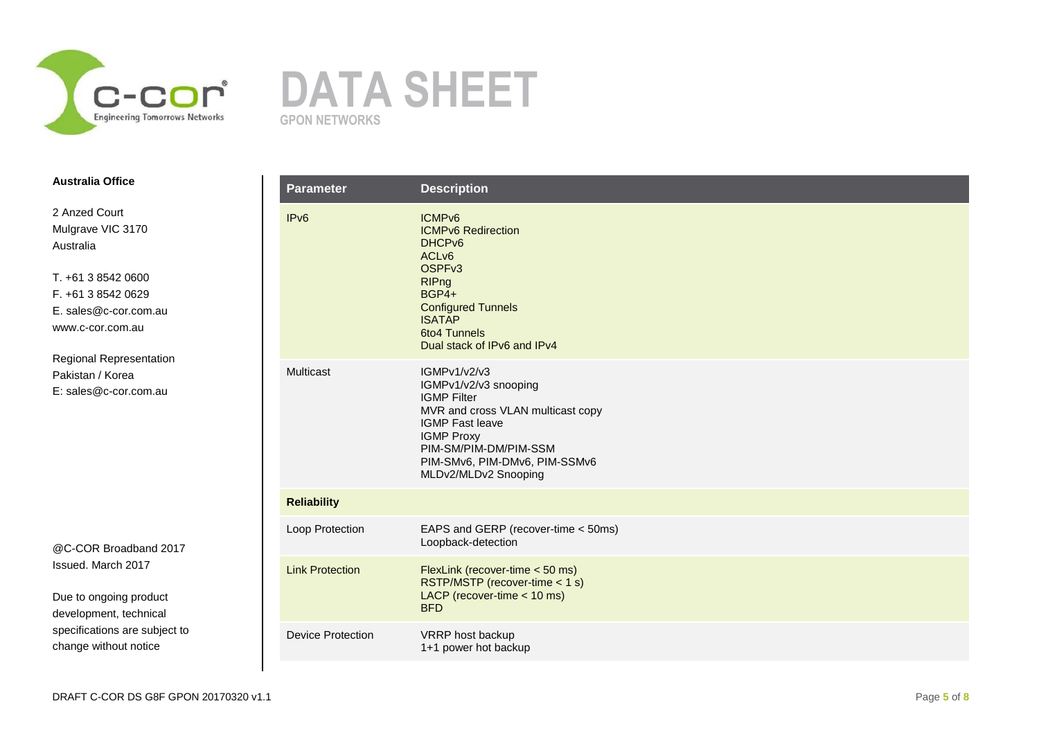



2 Anzed Court Mulgrave VIC 3170 Australia

T. +61 3 8542 0600 F. +61 3 8542 0629 E. sales@c-cor.com.au www.c-cor.com.au

Regional Representation Pakistan / Korea E: sales@c-cor.com.au

@C-COR Broadband 2017 Issued. March 2017

| <b>Parameter</b>         | <b>Description</b>                                                                                                                                                                                                                       |
|--------------------------|------------------------------------------------------------------------------------------------------------------------------------------------------------------------------------------------------------------------------------------|
| IP <sub>v6</sub>         | ICMP <sub>v6</sub><br><b>ICMPv6 Redirection</b><br>DHCP <sub>v6</sub><br>ACL <sub>v6</sub><br>OSPFv3<br><b>RIPng</b><br>BGP4+<br><b>Configured Tunnels</b><br><b>ISATAP</b><br><b>6to4 Tunnels</b><br>Dual stack of IPv6 and IPv4        |
| Multicast                | <b>IGMPv1/v2/v3</b><br>IGMPv1/v2/v3 snooping<br><b>IGMP Filter</b><br>MVR and cross VLAN multicast copy<br><b>IGMP Fast leave</b><br><b>IGMP Proxy</b><br>PIM-SM/PIM-DM/PIM-SSM<br>PIM-SMv6, PIM-DMv6, PIM-SSMv6<br>MLDv2/MLDv2 Snooping |
| <b>Reliability</b>       |                                                                                                                                                                                                                                          |
| Loop Protection          | EAPS and GERP (recover-time < 50ms)<br>Loopback-detection                                                                                                                                                                                |
| <b>Link Protection</b>   | FlexLink (recover-time < 50 ms)<br>RSTP/MSTP (recover-time < 1 s)<br>LACP (recover-time $<$ 10 ms)<br><b>BFD</b>                                                                                                                         |
| <b>Device Protection</b> | VRRP host backup<br>1+1 power hot backup                                                                                                                                                                                                 |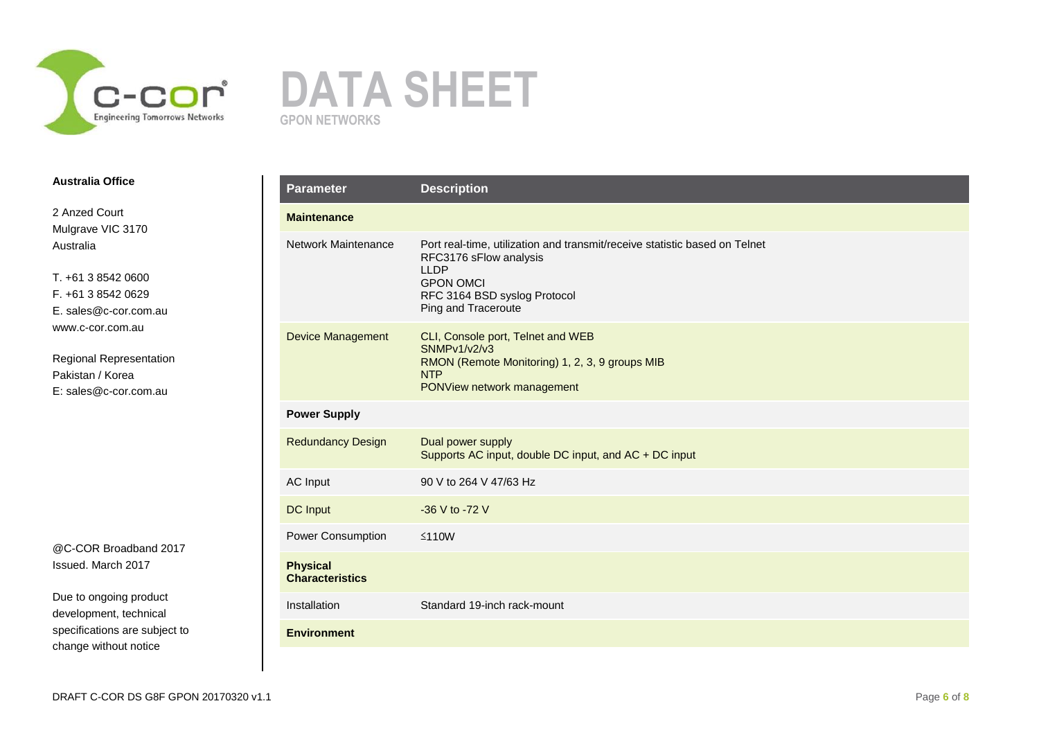



2 Anzed Court Mulgrave VIC 3170 Australia

T. +61 3 8542 0600 F. +61 3 8542 0629 E. sales@c-cor.com.au www.c-cor.com.au

Regional Representation Pakistan / Korea E: sales@c-cor.com.au

@C-COR Broadband 2017 Issued. March 2017

| <b>Parameter</b>                          | <b>Description</b>                                                                                                                                                                             |
|-------------------------------------------|------------------------------------------------------------------------------------------------------------------------------------------------------------------------------------------------|
| <b>Maintenance</b>                        |                                                                                                                                                                                                |
| Network Maintenance                       | Port real-time, utilization and transmit/receive statistic based on Telnet<br>RFC3176 sFlow analysis<br><b>LLDP</b><br><b>GPON OMCI</b><br>RFC 3164 BSD syslog Protocol<br>Ping and Traceroute |
| <b>Device Management</b>                  | CLI, Console port, Telnet and WEB<br>SNMPv1/v2/v3<br>RMON (Remote Monitoring) 1, 2, 3, 9 groups MIB<br><b>NTP</b><br>PONView network management                                                |
| <b>Power Supply</b>                       |                                                                                                                                                                                                |
| <b>Redundancy Design</b>                  | Dual power supply<br>Supports AC input, double DC input, and AC + DC input                                                                                                                     |
| AC Input                                  | 90 V to 264 V 47/63 Hz                                                                                                                                                                         |
| <b>DC</b> Input                           | -36 V to -72 V                                                                                                                                                                                 |
| Power Consumption                         | $≤110W$                                                                                                                                                                                        |
| <b>Physical</b><br><b>Characteristics</b> |                                                                                                                                                                                                |
| Installation                              | Standard 19-inch rack-mount                                                                                                                                                                    |
| <b>Environment</b>                        |                                                                                                                                                                                                |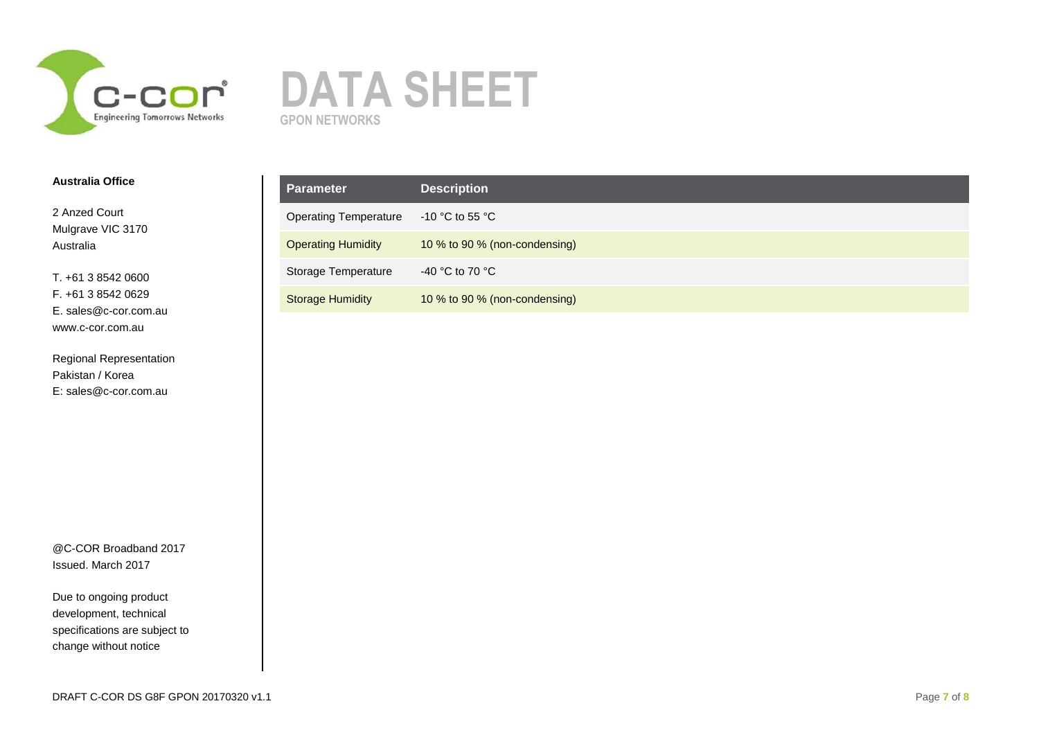



2 Anzed Court Mulgrave VIC 3170 Australia

T. +61 3 8542 0600 F. +61 3 8542 0629 E. sales@c-cor.com.au www.c-cor.com.au

Regional Representation Pakistan / Korea E: sales@c-cor.com.au

@C-COR Broadband 2017 Issued. March 2017

| <b>Parameter</b>             | <b>Description</b>            |
|------------------------------|-------------------------------|
| <b>Operating Temperature</b> | -10 °C to 55 °C               |
| <b>Operating Humidity</b>    | 10 % to 90 % (non-condensing) |
| Storage Temperature          | -40 °C to 70 °C               |
| <b>Storage Humidity</b>      | 10 % to 90 % (non-condensing) |